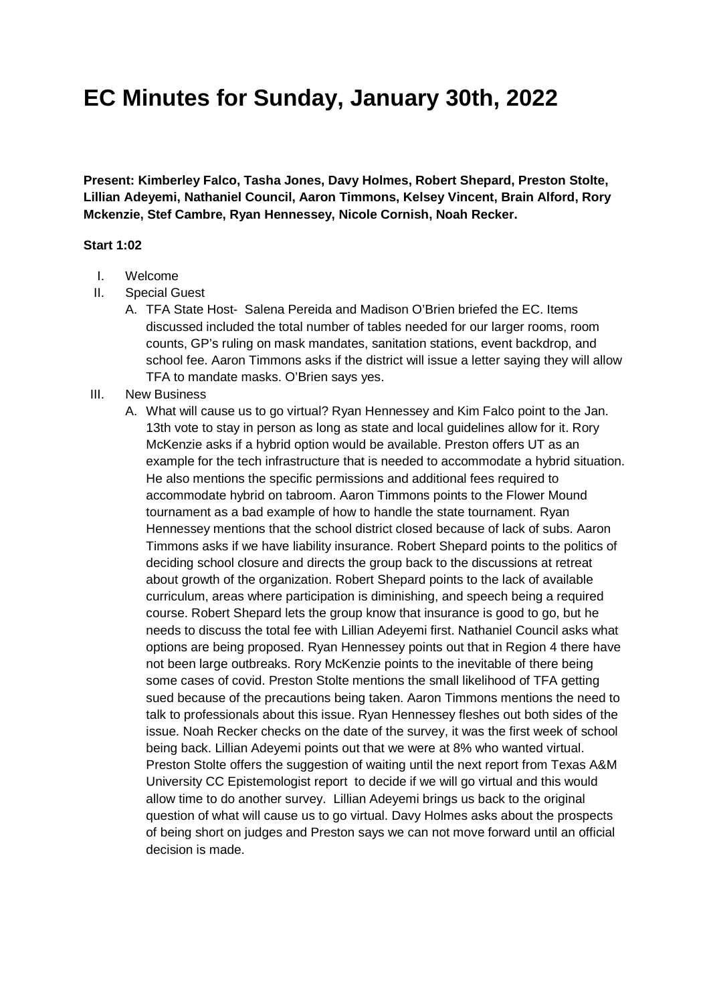## **EC Minutes for Sunday, January 30th, 2022**

**Present: Kimberley Falco, Tasha Jones, Davy Holmes, Robert Shepard, Preston Stolte, Lillian Adeyemi, Nathaniel Council, Aaron Timmons, Kelsey Vincent, Brain Alford, Rory Mckenzie, Stef Cambre, Ryan Hennessey, Nicole Cornish, Noah Recker.** 

## **Start 1:02**

- I. Welcome
- II. Special Guest
	- A. TFA State Host- Salena Pereida and Madison O'Brien briefed the EC. Items discussed included the total number of tables needed for our larger rooms, room counts, GP's ruling on mask mandates, sanitation stations, event backdrop, and school fee. Aaron Timmons asks if the district will issue a letter saying they will allow TFA to mandate masks. O'Brien says yes.
- III. New Business
	- A. What will cause us to go virtual? Ryan Hennessey and Kim Falco point to the Jan. 13th vote to stay in person as long as state and local guidelines allow for it. Rory McKenzie asks if a hybrid option would be available. Preston offers UT as an example for the tech infrastructure that is needed to accommodate a hybrid situation. He also mentions the specific permissions and additional fees required to accommodate hybrid on tabroom. Aaron Timmons points to the Flower Mound tournament as a bad example of how to handle the state tournament. Ryan Hennessey mentions that the school district closed because of lack of subs. Aaron Timmons asks if we have liability insurance. Robert Shepard points to the politics of deciding school closure and directs the group back to the discussions at retreat about growth of the organization. Robert Shepard points to the lack of available curriculum, areas where participation is diminishing, and speech being a required course. Robert Shepard lets the group know that insurance is good to go, but he needs to discuss the total fee with Lillian Adeyemi first. Nathaniel Council asks what options are being proposed. Ryan Hennessey points out that in Region 4 there have not been large outbreaks. Rory McKenzie points to the inevitable of there being some cases of covid. Preston Stolte mentions the small likelihood of TFA getting sued because of the precautions being taken. Aaron Timmons mentions the need to talk to professionals about this issue. Ryan Hennessey fleshes out both sides of the issue. Noah Recker checks on the date of the survey, it was the first week of school being back. Lillian Adeyemi points out that we were at 8% who wanted virtual. Preston Stolte offers the suggestion of waiting until the next report from Texas A&M University CC Epistemologist report to decide if we will go virtual and this would allow time to do another survey. Lillian Adeyemi brings us back to the original question of what will cause us to go virtual. Davy Holmes asks about the prospects of being short on judges and Preston says we can not move forward until an official decision is made.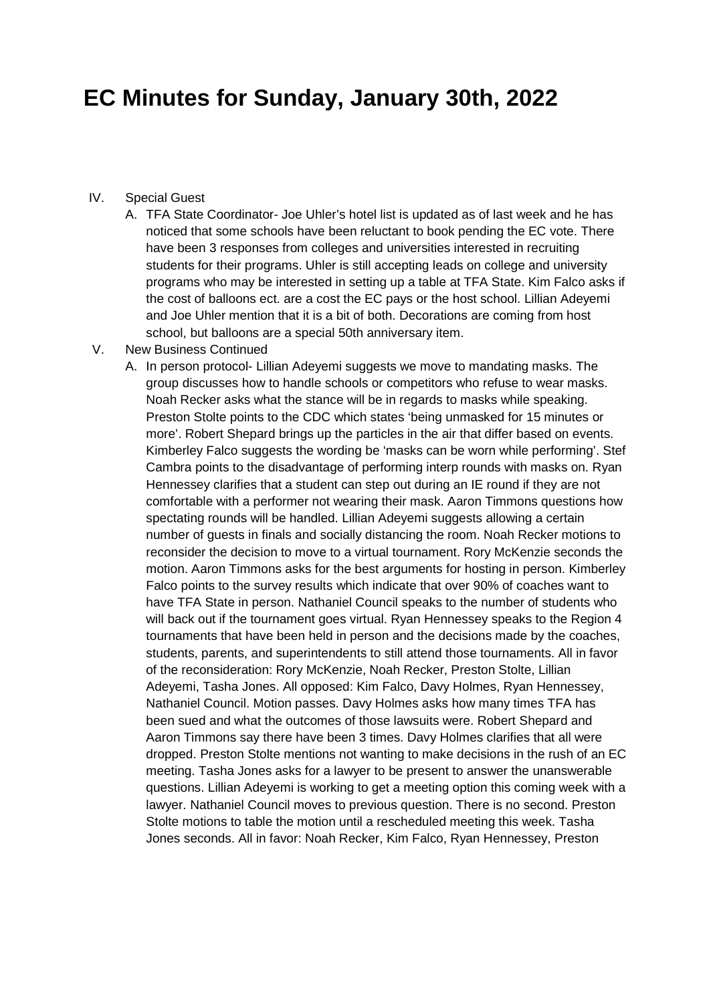## **EC Minutes for Sunday, January 30th, 2022**

- IV. Special Guest
	- A. TFA State Coordinator- Joe Uhler's hotel list is updated as of last week and he has noticed that some schools have been reluctant to book pending the EC vote. There have been 3 responses from colleges and universities interested in recruiting students for their programs. Uhler is still accepting leads on college and university programs who may be interested in setting up a table at TFA State. Kim Falco asks if the cost of balloons ect. are a cost the EC pays or the host school. Lillian Adeyemi and Joe Uhler mention that it is a bit of both. Decorations are coming from host school, but balloons are a special 50th anniversary item.
- V. New Business Continued
	- A. In person protocol- Lillian Adeyemi suggests we move to mandating masks. The group discusses how to handle schools or competitors who refuse to wear masks. Noah Recker asks what the stance will be in regards to masks while speaking. Preston Stolte points to the CDC which states 'being unmasked for 15 minutes or more'. Robert Shepard brings up the particles in the air that differ based on events. Kimberley Falco suggests the wording be 'masks can be worn while performing'. Stef Cambra points to the disadvantage of performing interp rounds with masks on. Ryan Hennessey clarifies that a student can step out during an IE round if they are not comfortable with a performer not wearing their mask. Aaron Timmons questions how spectating rounds will be handled. Lillian Adeyemi suggests allowing a certain number of guests in finals and socially distancing the room. Noah Recker motions to reconsider the decision to move to a virtual tournament. Rory McKenzie seconds the motion. Aaron Timmons asks for the best arguments for hosting in person. Kimberley Falco points to the survey results which indicate that over 90% of coaches want to have TFA State in person. Nathaniel Council speaks to the number of students who will back out if the tournament goes virtual. Ryan Hennessey speaks to the Region 4 tournaments that have been held in person and the decisions made by the coaches, students, parents, and superintendents to still attend those tournaments. All in favor of the reconsideration: Rory McKenzie, Noah Recker, Preston Stolte, Lillian Adeyemi, Tasha Jones. All opposed: Kim Falco, Davy Holmes, Ryan Hennessey, Nathaniel Council. Motion passes. Davy Holmes asks how many times TFA has been sued and what the outcomes of those lawsuits were. Robert Shepard and Aaron Timmons say there have been 3 times. Davy Holmes clarifies that all were dropped. Preston Stolte mentions not wanting to make decisions in the rush of an EC meeting. Tasha Jones asks for a lawyer to be present to answer the unanswerable questions. Lillian Adeyemi is working to get a meeting option this coming week with a lawyer. Nathaniel Council moves to previous question. There is no second. Preston Stolte motions to table the motion until a rescheduled meeting this week. Tasha Jones seconds. All in favor: Noah Recker, Kim Falco, Ryan Hennessey, Preston